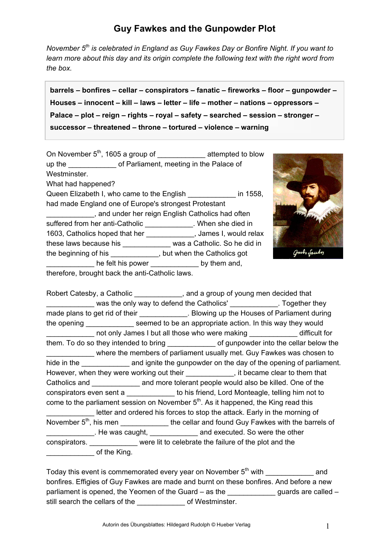## **Guy Fawkes and the Gunpowder Plot**

*November 5th is celebrated in England as Guy Fawkes Day or Bonfire Night. If you want to learn more about this day and its origin complete the following text with the right word from the box.* 

**barrels – bonfires – cellar – conspirators – fanatic – fireworks – floor – gunpowder – Houses – innocent – kill – laws – letter – life – mother – nations – oppressors – Palace – plot – reign – rights – royal – safety – searched – session – stronger – successor – threatened – throne – tortured – violence – warning** 

On November 5<sup>th</sup>, 1605 a group of attempted to blow up the dumble of Parliament, meeting in the Palace of Westminster. What had happened? Queen Elizabeth I, who came to the English **Elizabeth** I, who came to the English had made England one of Europe's strongest Protestant \_\_\_\_\_\_\_\_\_\_\_\_, and under her reign English Catholics had often suffered from her anti-Catholic \_\_\_\_\_\_\_\_\_\_\_\_\_. When she died in 1603, Catholics hoped that her \_\_\_\_\_\_\_\_\_\_\_\_, James I, would relax these laws because his \_\_\_\_\_\_\_\_\_\_\_\_ was a Catholic. So he did in the beginning of his \_\_\_\_\_\_\_\_\_\_\_\_, but when the Catholics got he felt his power by them and, therefore, brought back the anti-Catholic laws.



Robert Catesby, a Catholic \_\_\_\_\_\_\_\_\_\_\_\_, and a group of young men decided that was the only way to defend the Catholics' Together they made plans to get rid of their **Example 20** . Blowing up the Houses of Parliament during the opening seemed to be an appropriate action. In this way they would not only James I but all those who were making difficult for them. To do so they intended to bring the solution of gunpowder into the cellar below the \_\_\_\_\_\_\_\_\_\_\_\_ where the members of parliament usually met. Guy Fawkes was chosen to hide in the \_\_\_\_\_\_\_\_\_\_\_\_\_\_ and ignite the gunpowder on the day of the opening of parliament. However, when they were working out their \_\_\_\_\_\_\_\_\_\_, it became clear to them that Catholics and **EXEC and SECON and more tolerant people would also be killed. One of the** conspirators even sent a \_\_\_\_\_\_\_\_\_\_\_\_\_\_ to his friend, Lord Monteagle, telling him not to come to the parliament session on November  $5<sup>th</sup>$ . As it happened, the King read this letter and ordered his forces to stop the attack. Early in the morning of November  $5<sup>th</sup>$ , his men \_\_\_\_\_\_\_\_\_\_\_\_\_\_\_\_ the cellar and found Guy Fawkes with the barrels of . He was caught, **Example 20 and executed. So were the other** conspirators. \_\_\_\_\_\_\_\_\_\_\_\_ were lit to celebrate the failure of the plot and the Letter Controller of the King.

Today this event is commemorated every year on November  $5<sup>th</sup>$  with and bonfires. Effigies of Guy Fawkes are made and burnt on these bonfires. And before a new parliament is opened, the Yeomen of the Guard – as the  $\frac{1}{2}$  guards are called – still search the cellars of the  $\qquad \qquad$  of Westminster.